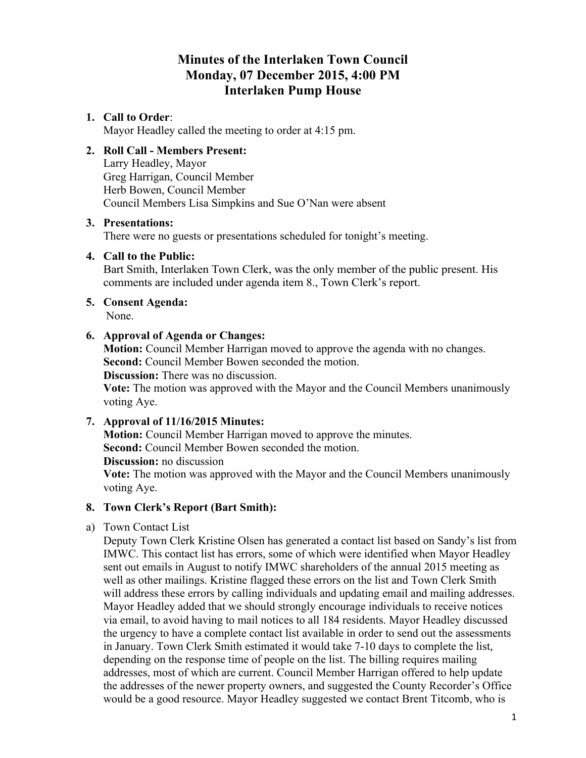# **Minutes of the Interlaken Town Council Monday, 07 December 2015, 4:00 PM Interlaken Pump House**

#### **1. Call to Order**:

Mayor Headley called the meeting to order at 4:15 pm.

## **2. Roll Call - Members Present:**

Larry Headley, Mayor Greg Harrigan, Council Member Herb Bowen, Council Member Council Members Lisa Simpkins and Sue O'Nan were absent

#### **3. Presentations:**

There were no guests or presentations scheduled for tonight's meeting.

#### **4. Call to the Public:**

Bart Smith, Interlaken Town Clerk, was the only member of the public present. His comments are included under agenda item 8., Town Clerk's report.

# **5. Consent Agenda:**

None.

#### **6. Approval of Agenda or Changes:**

**Motion:** Council Member Harrigan moved to approve the agenda with no changes. **Second:** Council Member Bowen seconded the motion.

**Discussion:** There was no discussion.

**Vote:** The motion was approved with the Mayor and the Council Members unanimously voting Aye.

#### **7. Approval of 11/16/2015 Minutes:**

**Motion:** Council Member Harrigan moved to approve the minutes. **Second:** Council Member Bowen seconded the motion.

**Discussion:** no discussion

**Vote:** The motion was approved with the Mayor and the Council Members unanimously voting Aye.

#### **8. Town Clerk's Report (Bart Smith):**

a) Town Contact List

Deputy Town Clerk Kristine Olsen has generated a contact list based on Sandy's list from IMWC. This contact list has errors, some of which were identified when Mayor Headley sent out emails in August to notify IMWC shareholders of the annual 2015 meeting as well as other mailings. Kristine flagged these errors on the list and Town Clerk Smith will address these errors by calling individuals and updating email and mailing addresses. Mayor Headley added that we should strongly encourage individuals to receive notices via email, to avoid having to mail notices to all 184 residents. Mayor Headley discussed the urgency to have a complete contact list available in order to send out the assessments in January. Town Clerk Smith estimated it would take 7-10 days to complete the list, depending on the response time of people on the list. The billing requires mailing addresses, most of which are current. Council Member Harrigan offered to help update the addresses of the newer property owners, and suggested the County Recorder's Office would be a good resource. Mayor Headley suggested we contact Brent Titcomb, who is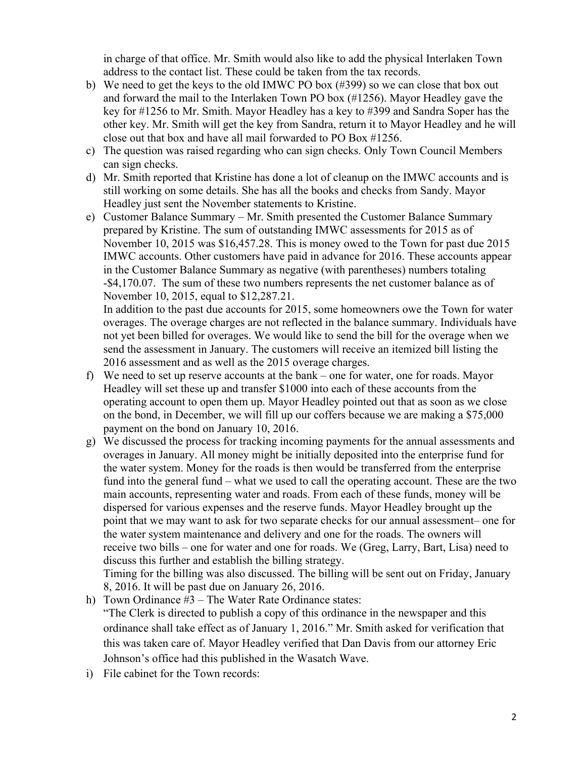in charge of that office. Mr. Smith would also like to add the physical Interlaken Town address to the contact list. These could be taken from the tax records.

- b) We need to get the keys to the old IMWC PO box (#399) so we can close that box out and forward the mail to the Interlaken Town PO box (#1256). Mayor Headley gave the key for #1256 to Mr. Smith. Mayor Headley has a key to #399 and Sandra Soper has the other key. Mr. Smith will get the key from Sandra, return it to Mayor Headley and he will close out that box and have all mail forwarded to PO Box #1256.
- c) The question was raised regarding who can sign checks. Only Town Council Members can sign checks.
- d) Mr. Smith reported that Kristine has done a lot of cleanup on the IMWC accounts and is still working on some details. She has all the books and checks from Sandy. Mayor Headley just sent the November statements to Kristine.
- e) Customer Balance Summary Mr. Smith presented the Customer Balance Summary prepared by Kristine. The sum of outstanding IMWC assessments for 2015 as of November 10, 2015 was \$16,457.28. This is money owed to the Town for past due 2015 IMWC accounts. Other customers have paid in advance for 2016. These accounts appear in the Customer Balance Summary as negative (with parentheses) numbers totaling -\$4,170.07. The sum of these two numbers represents the net customer balance as of November 10, 2015, equal to \$12,287.21.

In addition to the past due accounts for 2015, some homeowners owe the Town for water overages. The overage charges are not reflected in the balance summary. Individuals have not yet been billed for overages. We would like to send the bill for the overage when we send the assessment in January. The customers will receive an itemized bill listing the 2016 assessment and as well as the 2015 overage charges.

- f) We need to set up reserve accounts at the bank one for water, one for roads. Mayor Headley will set these up and transfer \$1000 into each of these accounts from the operating account to open them up. Mayor Headley pointed out that as soon as we close on the bond, in December, we will fill up our coffers because we are making a \$75,000 payment on the bond on January 10, 2016.
- g) We discussed the process for tracking incoming payments for the annual assessments and overages in January. All money might be initially deposited into the enterprise fund for the water system. Money for the roads is then would be transferred from the enterprise fund into the general fund – what we used to call the operating account. These are the two main accounts, representing water and roads. From each of these funds, money will be dispersed for various expenses and the reserve funds. Mayor Headley brought up the point that we may want to ask for two separate checks for our annual assessment– one for the water system maintenance and delivery and one for the roads. The owners will receive two bills – one for water and one for roads. We (Greg, Larry, Bart, Lisa) need to discuss this further and establish the billing strategy.

Timing for the billing was also discussed. The billing will be sent out on Friday, January 8, 2016. It will be past due on January 26, 2016.

h) Town Ordinance #3 – The Water Rate Ordinance states: "The Clerk is directed to publish a copy of this ordinance in the newspaper and this ordinance shall take effect as of January 1, 2016." Mr. Smith asked for verification that this was taken care of. Mayor Headley verified that Dan Davis from our attorney Eric Johnson's office had this published in the Wasatch Wave.

i) File cabinet for the Town records: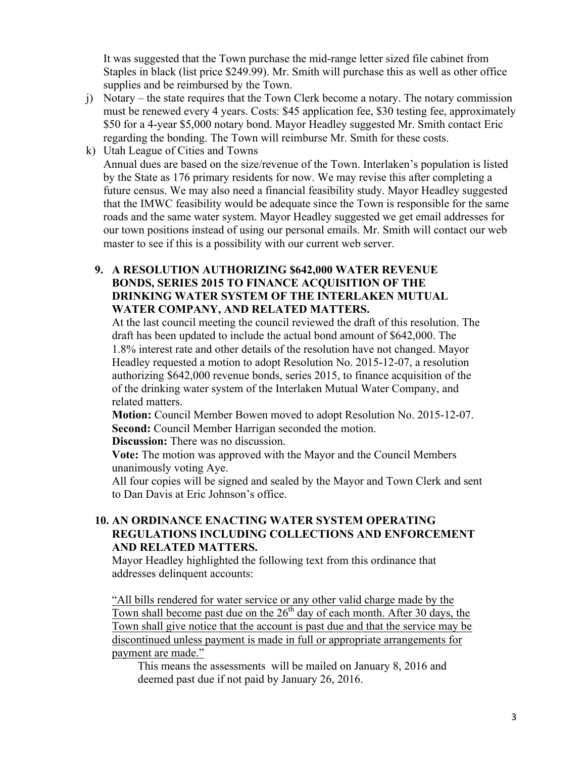It was suggested that the Town purchase the mid-range letter sized file cabinet from Staples in black (list price \$249.99). Mr. Smith will purchase this as well as other office supplies and be reimbursed by the Town.

- j) Notary the state requires that the Town Clerk become a notary. The notary commission must be renewed every 4 years. Costs: \$45 application fee, \$30 testing fee, approximately \$50 for a 4-year \$5,000 notary bond. Mayor Headley suggested Mr. Smith contact Eric regarding the bonding. The Town will reimburse Mr. Smith for these costs.
- k) Utah League of Cities and Towns Annual dues are based on the size/revenue of the Town. Interlaken's population is listed by the State as 176 primary residents for now. We may revise this after completing a future census. We may also need a financial feasibility study. Mayor Headley suggested that the IMWC feasibility would be adequate since the Town is responsible for the same roads and the same water system. Mayor Headley suggested we get email addresses for our town positions instead of using our personal emails. Mr. Smith will contact our web master to see if this is a possibility with our current web server.
	- **9. A RESOLUTION AUTHORIZING \$642,000 WATER REVENUE BONDS, SERIES 2015 TO FINANCE ACQUISITION OF THE DRINKING WATER SYSTEM OF THE INTERLAKEN MUTUAL WATER COMPANY, AND RELATED MATTERS.**

At the last council meeting the council reviewed the draft of this resolution. The draft has been updated to include the actual bond amount of \$642,000. The 1.8% interest rate and other details of the resolution have not changed. Mayor Headley requested a motion to adopt Resolution No. 2015-12-07, a resolution authorizing \$642,000 revenue bonds, series 2015, to finance acquisition of the of the drinking water system of the Interlaken Mutual Water Company, and related matters.

**Motion:** Council Member Bowen moved to adopt Resolution No. 2015-12-07. **Second:** Council Member Harrigan seconded the motion.

**Discussion:** There was no discussion.

**Vote:** The motion was approved with the Mayor and the Council Members unanimously voting Aye.

All four copies will be signed and sealed by the Mayor and Town Clerk and sent to Dan Davis at Eric Johnson's office.

#### **10. AN ORDINANCE ENACTING WATER SYSTEM OPERATING REGULATIONS INCLUDING COLLECTIONS AND ENFORCEMENT AND RELATED MATTERS.**

Mayor Headley highlighted the following text from this ordinance that addresses delinquent accounts:

"All bills rendered for water service or any other valid charge made by the Town shall become past due on the  $26<sup>th</sup>$  day of each month. After 30 days, the Town shall give notice that the account is past due and that the service may be discontinued unless payment is made in full or appropriate arrangements for payment are made."

This means the assessments will be mailed on January 8, 2016 and deemed past due if not paid by January 26, 2016.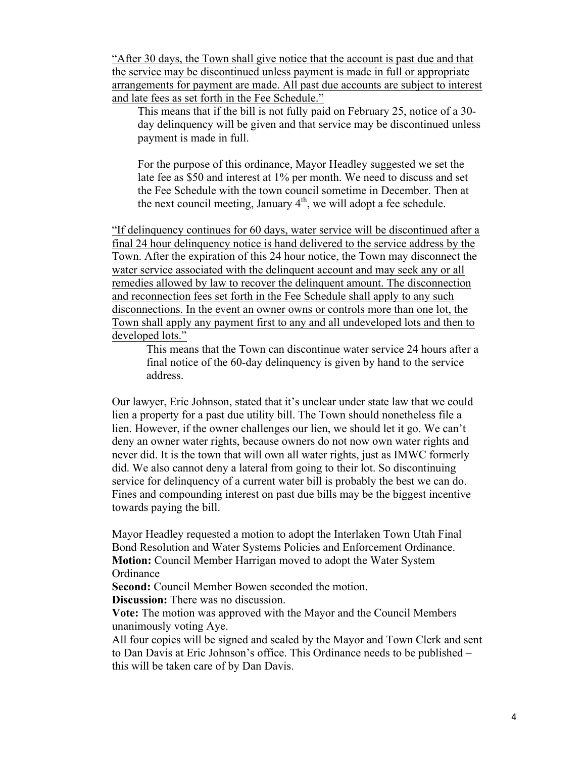"After 30 days, the Town shall give notice that the account is past due and that the service may be discontinued unless payment is made in full or appropriate arrangements for payment are made. All past due accounts are subject to interest and late fees as set forth in the Fee Schedule."

This means that if the bill is not fully paid on February 25, notice of a 30 day delinquency will be given and that service may be discontinued unless payment is made in full.

For the purpose of this ordinance, Mayor Headley suggested we set the late fee as \$50 and interest at 1% per month. We need to discuss and set the Fee Schedule with the town council sometime in December. Then at the next council meeting, January  $4<sup>th</sup>$ , we will adopt a fee schedule.

"If delinquency continues for 60 days, water service will be discontinued after a final 24 hour delinquency notice is hand delivered to the service address by the Town. After the expiration of this 24 hour notice, the Town may disconnect the water service associated with the delinquent account and may seek any or all remedies allowed by law to recover the delinquent amount. The disconnection and reconnection fees set forth in the Fee Schedule shall apply to any such disconnections. In the event an owner owns or controls more than one lot, the Town shall apply any payment first to any and all undeveloped lots and then to developed lots."

This means that the Town can discontinue water service 24 hours after a final notice of the 60-day delinquency is given by hand to the service address.

Our lawyer, Eric Johnson, stated that it's unclear under state law that we could lien a property for a past due utility bill. The Town should nonetheless file a lien. However, if the owner challenges our lien, we should let it go. We can't deny an owner water rights, because owners do not now own water rights and never did. It is the town that will own all water rights, just as IMWC formerly did. We also cannot deny a lateral from going to their lot. So discontinuing service for delinquency of a current water bill is probably the best we can do. Fines and compounding interest on past due bills may be the biggest incentive towards paying the bill.

Mayor Headley requested a motion to adopt the Interlaken Town Utah Final Bond Resolution and Water Systems Policies and Enforcement Ordinance. **Motion:** Council Member Harrigan moved to adopt the Water System **Ordinance** 

**Second:** Council Member Bowen seconded the motion.

**Discussion:** There was no discussion.

**Vote:** The motion was approved with the Mayor and the Council Members unanimously voting Aye.

All four copies will be signed and sealed by the Mayor and Town Clerk and sent to Dan Davis at Eric Johnson's office. This Ordinance needs to be published – this will be taken care of by Dan Davis.